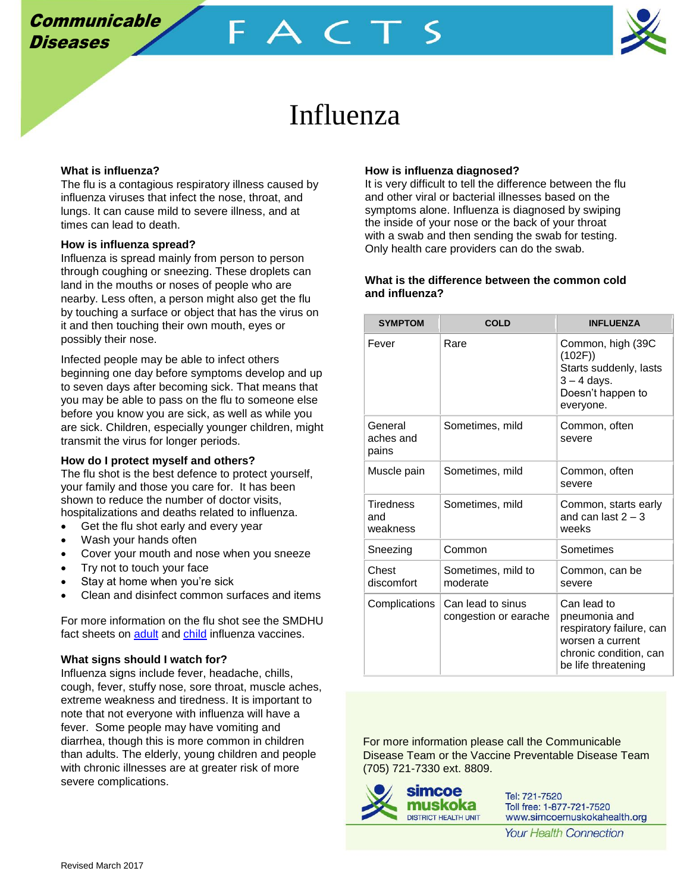

# Influenza

FACT

### **What is influenza?**

The flu is a contagious respiratory illness caused by influenza viruses that infect the nose, throat, and lungs. It can cause mild to severe illness, and at times can lead to death.

### **How is influenza spread?**

Influenza is spread mainly from person to person through coughing or sneezing. These droplets can land in the mouths or noses of people who are nearby. Less often, a person might also get the flu by touching a surface or object that has the virus on it and then touching their own mouth, eyes or possibly their nose.

Infected people may be able to infect others beginning one day before symptoms develop and up to seven days after becoming sick. That means that you may be able to pass on the flu to someone else before you know you are sick, as well as while you are sick. Children, especially younger children, might transmit the virus for longer periods.

#### **How do I protect myself and others?**

The flu shot is the best defence to protect yourself, your family and those you care for. It has been shown to reduce the number of doctor visits, hospitalizations and deaths related to influenza.

- Get the flu shot early and every year
- Wash your hands often
- Cover your mouth and nose when you sneeze
- Try not to touch your face
- Stay at home when you're sick
- Clean and disinfect common surfaces and items

For more information on the flu shot see the SMDHU fact sheets on [adult](http://www.simcoemuskokahealth.org/docs/default-source/topic-immunization/adult-flu-vaccine-fact-sheet-2016_finalabcfd95f97be6bc38c2dff0000a8dfd8.pdf?sfvrsn=2) and [child](http://www.simcoemuskokahealth.org/docs/default-source/topic-immunization/children-flu-vaccine-fact-sheet-2016_finalbdcfd95f97be6bc38c2dff0000a8dfd8.pdf?sfvrsn=2) influenza vaccines.

# **What signs should I watch for?**

Influenza signs include fever, headache, chills, cough, fever, stuffy nose, sore throat, muscle aches, extreme weakness and tiredness. It is important to note that not everyone with influenza will have a fever. Some people may have vomiting and diarrhea, though this is more common in children than adults. The elderly, young children and people with chronic illnesses are at greater risk of more severe complications.

## **How is influenza diagnosed?**

It is very difficult to tell the difference between the flu and other viral or bacterial illnesses based on the symptoms alone. Influenza is diagnosed by swiping the inside of your nose or the back of your throat with a swab and then sending the swab for testing. Only health care providers can do the swab.

# **What is the difference between the common cold and influenza?**

| <b>SYMPTOM</b>                      | <b>COLD</b>                                | <b>INFLUENZA</b>                                                                                                              |
|-------------------------------------|--------------------------------------------|-------------------------------------------------------------------------------------------------------------------------------|
| Fever                               | Rare                                       | Common, high (39C<br>(102F)<br>Starts suddenly, lasts<br>$3 - 4$ days.<br>Doesn't happen to<br>everyone.                      |
| General<br>aches and<br>pains       | Sometimes, mild                            | Common, often<br>severe                                                                                                       |
| Muscle pain                         | Sometimes, mild                            | Common, often<br>severe                                                                                                       |
| <b>Tiredness</b><br>and<br>weakness | Sometimes, mild                            | Common, starts early<br>and can last $2 - 3$<br>weeks                                                                         |
| Sneezing                            | Common                                     | Sometimes                                                                                                                     |
| Chest<br>discomfort                 | Sometimes, mild to<br>moderate             | Common, can be<br>severe                                                                                                      |
| Complications                       | Can lead to sinus<br>congestion or earache | Can lead to<br>pneumonia and<br>respiratory failure, can<br>worsen a current<br>chronic condition, can<br>be life threatening |

For more information please call the Communicable Disease Team or the Vaccine Preventable Disease Team (705) 721-7330 ext. 8809.



Tel: 721-7520 Toll free: 1-877-721-7520 www.simcoemuskokahealth.org

**Your Health Connection**